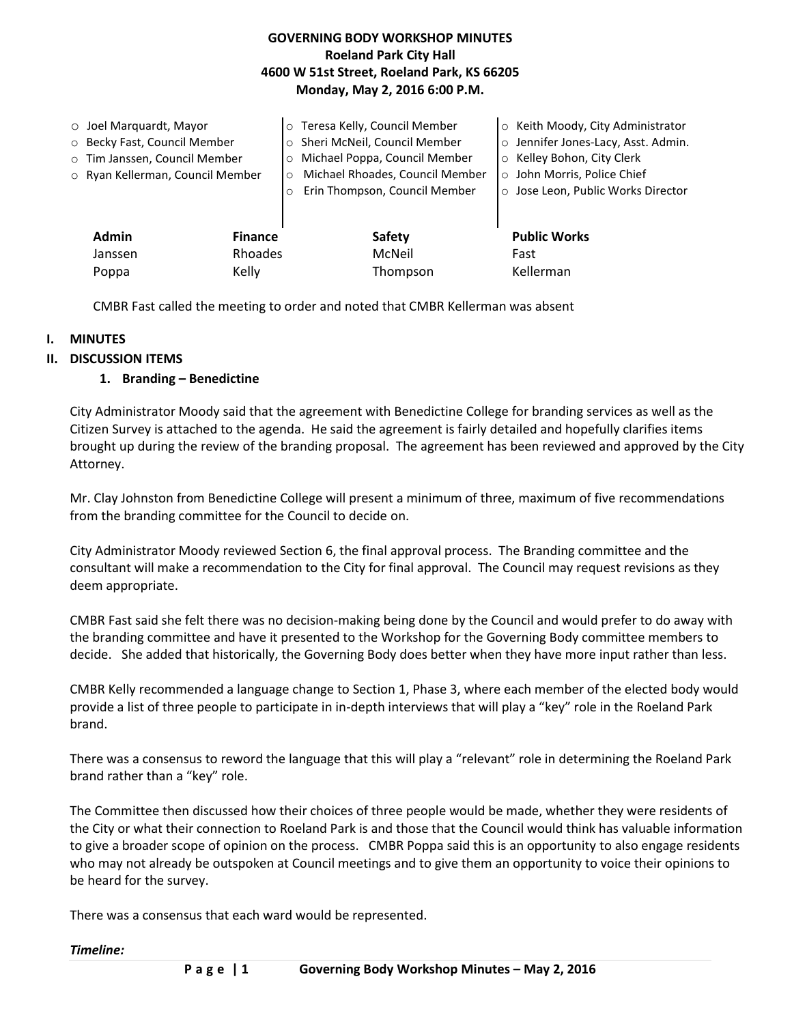## **GOVERNING BODY WORKSHOP MINUTES Roeland Park City Hall 4600 W 51st Street, Roeland Park, KS 66205 Monday, May 2, 2016 6:00 P.M.**

| $\circ$ Joel Marquardt, Mayor<br>O Becky Fast, Council Member<br>o Tim Janssen, Council Member<br>o Ryan Kellerman, Council Member |                           | Teresa Kelly, Council Member<br>Sheri McNeil, Council Member<br>Michael Poppa, Council Member<br>$\circ$<br>Michael Rhoades, Council Member<br>$\circ$<br>Erin Thompson, Council Member | ○ Keith Moody, City Administrator<br>o Jennifer Jones-Lacy, Asst. Admin.<br>○ Kelley Bohon, City Clerk<br>o John Morris, Police Chief<br>o Jose Leon, Public Works Director |
|------------------------------------------------------------------------------------------------------------------------------------|---------------------------|-----------------------------------------------------------------------------------------------------------------------------------------------------------------------------------------|-----------------------------------------------------------------------------------------------------------------------------------------------------------------------------|
| Admin<br>Janssen                                                                                                                   | <b>Finance</b><br>Rhoades | Safety<br>McNeil                                                                                                                                                                        | <b>Public Works</b><br>Fast                                                                                                                                                 |
| Poppa                                                                                                                              | Kelly                     | Thompson                                                                                                                                                                                | Kellerman                                                                                                                                                                   |

CMBR Fast called the meeting to order and noted that CMBR Kellerman was absent

#### **I. MINUTES**

#### **II. DISCUSSION ITEMS**

#### **1. Branding – Benedictine**

City Administrator Moody said that the agreement with Benedictine College for branding services as well as the Citizen Survey is attached to the agenda. He said the agreement is fairly detailed and hopefully clarifies items brought up during the review of the branding proposal. The agreement has been reviewed and approved by the City Attorney.

Mr. Clay Johnston from Benedictine College will present a minimum of three, maximum of five recommendations from the branding committee for the Council to decide on.

City Administrator Moody reviewed Section 6, the final approval process. The Branding committee and the consultant will make a recommendation to the City for final approval. The Council may request revisions as they deem appropriate.

CMBR Fast said she felt there was no decision-making being done by the Council and would prefer to do away with the branding committee and have it presented to the Workshop for the Governing Body committee members to decide. She added that historically, the Governing Body does better when they have more input rather than less.

CMBR Kelly recommended a language change to Section 1, Phase 3, where each member of the elected body would provide a list of three people to participate in in-depth interviews that will play a "key" role in the Roeland Park brand.

There was a consensus to reword the language that this will play a "relevant" role in determining the Roeland Park brand rather than a "key" role.

The Committee then discussed how their choices of three people would be made, whether they were residents of the City or what their connection to Roeland Park is and those that the Council would think has valuable information to give a broader scope of opinion on the process. CMBR Poppa said this is an opportunity to also engage residents who may not already be outspoken at Council meetings and to give them an opportunity to voice their opinions to be heard for the survey.

There was a consensus that each ward would be represented.

#### *Timeline:*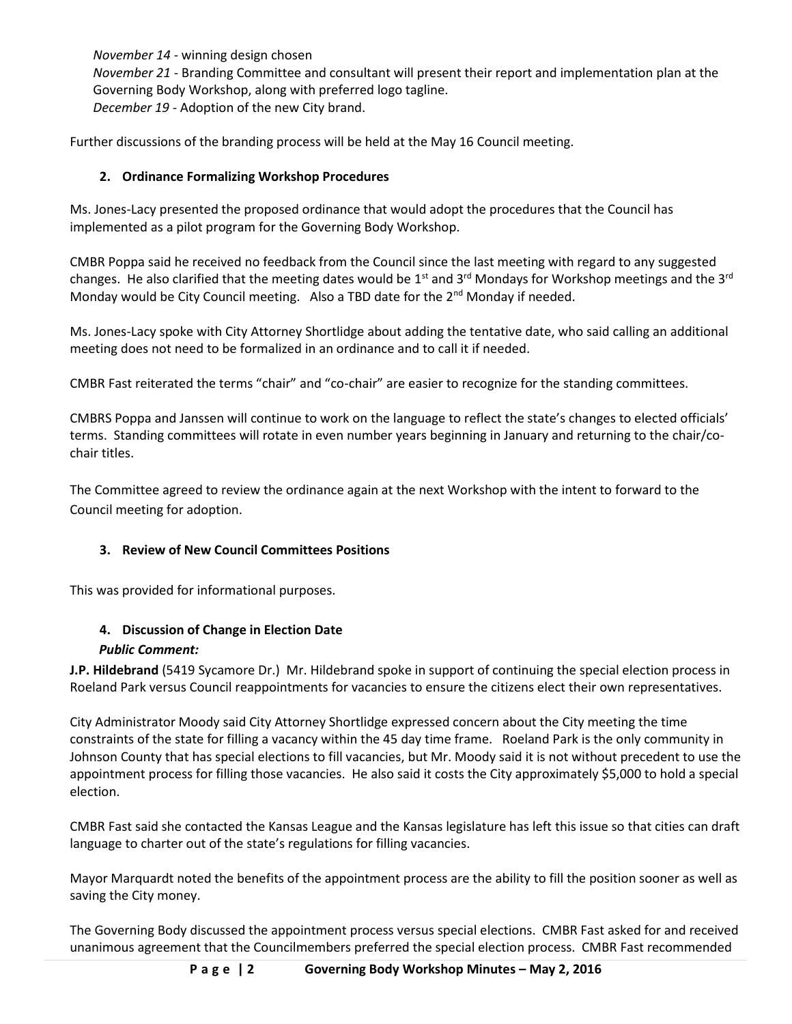*November 14* - winning design chosen *November 21* - Branding Committee and consultant will present their report and implementation plan at the Governing Body Workshop, along with preferred logo tagline. *December 19* - Adoption of the new City brand.

Further discussions of the branding process will be held at the May 16 Council meeting.

## **2. Ordinance Formalizing Workshop Procedures**

Ms. Jones-Lacy presented the proposed ordinance that would adopt the procedures that the Council has implemented as a pilot program for the Governing Body Workshop.

CMBR Poppa said he received no feedback from the Council since the last meeting with regard to any suggested changes. He also clarified that the meeting dates would be 1<sup>st</sup> and 3<sup>rd</sup> Mondays for Workshop meetings and the 3<sup>rd</sup> Monday would be City Council meeting. Also a TBD date for the 2<sup>nd</sup> Monday if needed.

Ms. Jones-Lacy spoke with City Attorney Shortlidge about adding the tentative date, who said calling an additional meeting does not need to be formalized in an ordinance and to call it if needed.

CMBR Fast reiterated the terms "chair" and "co-chair" are easier to recognize for the standing committees.

CMBRS Poppa and Janssen will continue to work on the language to reflect the state's changes to elected officials' terms. Standing committees will rotate in even number years beginning in January and returning to the chair/cochair titles.

The Committee agreed to review the ordinance again at the next Workshop with the intent to forward to the Council meeting for adoption.

## **3. Review of New Council Committees Positions**

This was provided for informational purposes.

## **4. Discussion of Change in Election Date**

## *Public Comment:*

**J.P. Hildebrand** (5419 Sycamore Dr.) Mr. Hildebrand spoke in support of continuing the special election process in Roeland Park versus Council reappointments for vacancies to ensure the citizens elect their own representatives.

City Administrator Moody said City Attorney Shortlidge expressed concern about the City meeting the time constraints of the state for filling a vacancy within the 45 day time frame. Roeland Park is the only community in Johnson County that has special elections to fill vacancies, but Mr. Moody said it is not without precedent to use the appointment process for filling those vacancies. He also said it costs the City approximately \$5,000 to hold a special election.

CMBR Fast said she contacted the Kansas League and the Kansas legislature has left this issue so that cities can draft language to charter out of the state's regulations for filling vacancies.

Mayor Marquardt noted the benefits of the appointment process are the ability to fill the position sooner as well as saving the City money.

The Governing Body discussed the appointment process versus special elections. CMBR Fast asked for and received unanimous agreement that the Councilmembers preferred the special election process. CMBR Fast recommended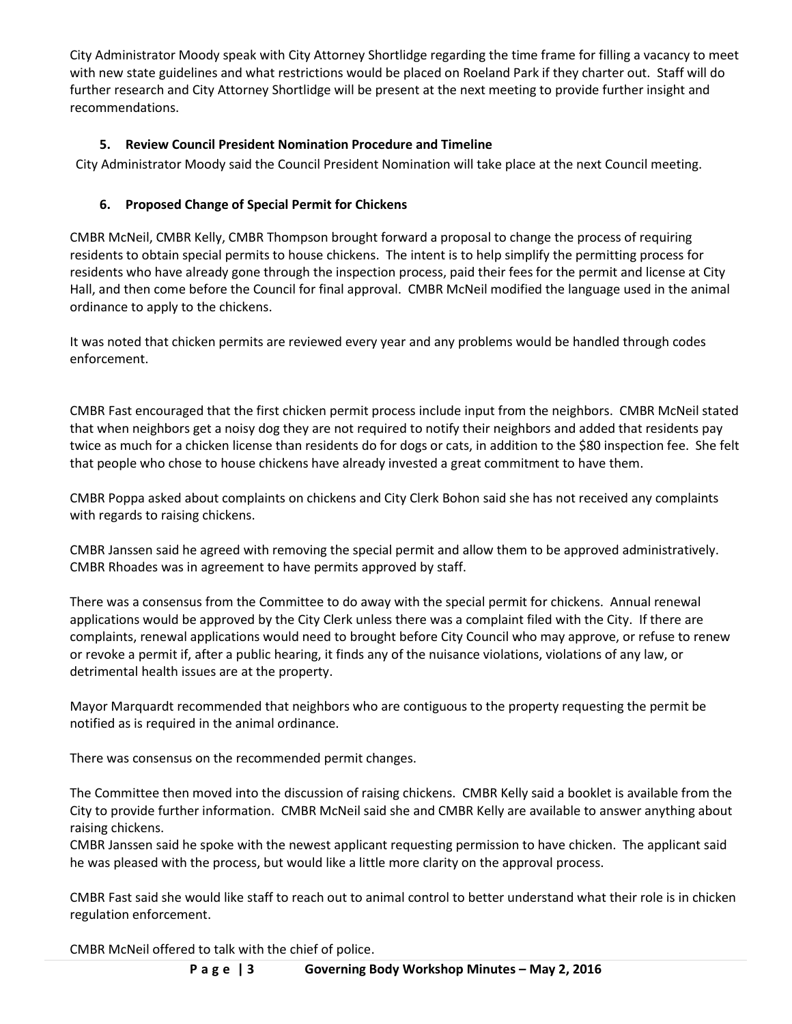City Administrator Moody speak with City Attorney Shortlidge regarding the time frame for filling a vacancy to meet with new state guidelines and what restrictions would be placed on Roeland Park if they charter out. Staff will do further research and City Attorney Shortlidge will be present at the next meeting to provide further insight and recommendations.

# **5. Review Council President Nomination Procedure and Timeline**

City Administrator Moody said the Council President Nomination will take place at the next Council meeting.

## **6. Proposed Change of Special Permit for Chickens**

CMBR McNeil, CMBR Kelly, CMBR Thompson brought forward a proposal to change the process of requiring residents to obtain special permits to house chickens. The intent is to help simplify the permitting process for residents who have already gone through the inspection process, paid their fees for the permit and license at City Hall, and then come before the Council for final approval. CMBR McNeil modified the language used in the animal ordinance to apply to the chickens.

It was noted that chicken permits are reviewed every year and any problems would be handled through codes enforcement.

CMBR Fast encouraged that the first chicken permit process include input from the neighbors. CMBR McNeil stated that when neighbors get a noisy dog they are not required to notify their neighbors and added that residents pay twice as much for a chicken license than residents do for dogs or cats, in addition to the \$80 inspection fee. She felt that people who chose to house chickens have already invested a great commitment to have them.

CMBR Poppa asked about complaints on chickens and City Clerk Bohon said she has not received any complaints with regards to raising chickens.

CMBR Janssen said he agreed with removing the special permit and allow them to be approved administratively. CMBR Rhoades was in agreement to have permits approved by staff.

There was a consensus from the Committee to do away with the special permit for chickens. Annual renewal applications would be approved by the City Clerk unless there was a complaint filed with the City. If there are complaints, renewal applications would need to brought before City Council who may approve, or refuse to renew or revoke a permit if, after a public hearing, it finds any of the nuisance violations, violations of any law, or detrimental health issues are at the property.

Mayor Marquardt recommended that neighbors who are contiguous to the property requesting the permit be notified as is required in the animal ordinance.

There was consensus on the recommended permit changes.

The Committee then moved into the discussion of raising chickens. CMBR Kelly said a booklet is available from the City to provide further information. CMBR McNeil said she and CMBR Kelly are available to answer anything about raising chickens.

CMBR Janssen said he spoke with the newest applicant requesting permission to have chicken. The applicant said he was pleased with the process, but would like a little more clarity on the approval process.

CMBR Fast said she would like staff to reach out to animal control to better understand what their role is in chicken regulation enforcement.

CMBR McNeil offered to talk with the chief of police.